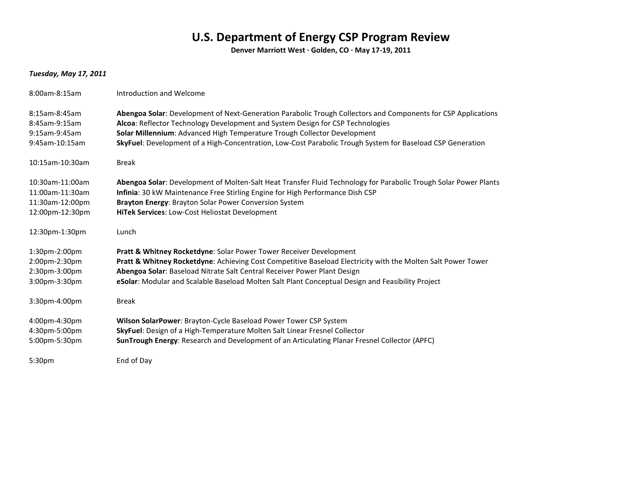## **U.S. Department of Energy CSP Program Review**

**Denver Marriott West · Golden, CO · May 17-19, 2011**

## *Tuesday, May 17, 2011*

| 8:00am-8:15am                                                            | Introduction and Welcome                                                                                                                                                                                                                                                                                                                                                                  |
|--------------------------------------------------------------------------|-------------------------------------------------------------------------------------------------------------------------------------------------------------------------------------------------------------------------------------------------------------------------------------------------------------------------------------------------------------------------------------------|
| 8:15am-8:45am<br>8:45am-9:15am<br>9:15am-9:45am<br>9:45am-10:15am        | Abengoa Solar: Development of Next-Generation Parabolic Trough Collectors and Components for CSP Applications<br>Alcoa: Reflector Technology Development and System Design for CSP Technologies<br>Solar Millennium: Advanced High Temperature Trough Collector Development<br>SkyFuel: Development of a High-Concentration, Low-Cost Parabolic Trough System for Baseload CSP Generation |
| 10:15am-10:30am                                                          | <b>Break</b>                                                                                                                                                                                                                                                                                                                                                                              |
| 10:30am-11:00am<br>11:00am-11:30am<br>11:30am-12:00pm<br>12:00pm-12:30pm | Abengoa Solar: Development of Molten-Salt Heat Transfer Fluid Technology for Parabolic Trough Solar Power Plants<br>Infinia: 30 kW Maintenance Free Stirling Engine for High Performance Dish CSP<br>Brayton Energy: Brayton Solar Power Conversion System<br>HiTek Services: Low-Cost Heliostat Development                                                                              |
| 12:30pm-1:30pm                                                           | Lunch                                                                                                                                                                                                                                                                                                                                                                                     |
| 1:30pm-2:00pm<br>2:00pm-2:30pm<br>2:30pm-3:00pm<br>3:00pm-3:30pm         | Pratt & Whitney Rocketdyne: Solar Power Tower Receiver Development<br>Pratt & Whitney Rocketdyne: Achieving Cost Competitive Baseload Electricity with the Molten Salt Power Tower<br>Abengoa Solar: Baseload Nitrate Salt Central Receiver Power Plant Design<br>eSolar: Modular and Scalable Baseload Molten Salt Plant Conceptual Design and Feasibility Project                       |
| 3:30pm-4:00pm                                                            | <b>Break</b>                                                                                                                                                                                                                                                                                                                                                                              |
| 4:00pm-4:30pm<br>4:30pm-5:00pm<br>5:00pm-5:30pm                          | Wilson SolarPower: Brayton-Cycle Baseload Power Tower CSP System<br>SkyFuel: Design of a High-Temperature Molten Salt Linear Fresnel Collector<br>SunTrough Energy: Research and Development of an Articulating Planar Fresnel Collector (APFC)                                                                                                                                           |
| 5:30pm                                                                   | End of Day                                                                                                                                                                                                                                                                                                                                                                                |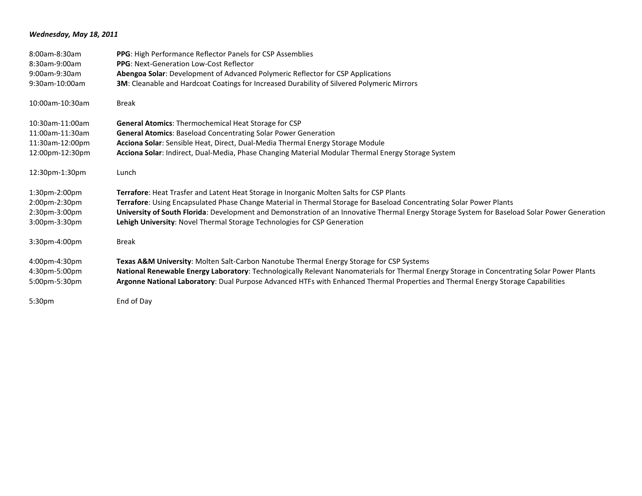## *Wednesday, May 18, 2011*

| 8:00am-8:30am      | <b>PPG</b> : High Performance Reflector Panels for CSP Assemblies                                                                             |
|--------------------|-----------------------------------------------------------------------------------------------------------------------------------------------|
| 8:30am-9:00am      | <b>PPG:</b> Next-Generation Low-Cost Reflector                                                                                                |
| 9:00am-9:30am      | Abengoa Solar: Development of Advanced Polymeric Reflector for CSP Applications                                                               |
| 9:30am-10:00am     | 3M: Cleanable and Hardcoat Coatings for Increased Durability of Silvered Polymeric Mirrors                                                    |
| 10:00am-10:30am    | <b>Break</b>                                                                                                                                  |
| 10:30am-11:00am    | <b>General Atomics:</b> Thermochemical Heat Storage for CSP                                                                                   |
| 11:00am-11:30am    | <b>General Atomics: Baseload Concentrating Solar Power Generation</b>                                                                         |
| 11:30am-12:00pm    | Acciona Solar: Sensible Heat, Direct, Dual-Media Thermal Energy Storage Module                                                                |
| 12:00pm-12:30pm    | Acciona Solar: Indirect, Dual-Media, Phase Changing Material Modular Thermal Energy Storage System                                            |
| 12:30pm-1:30pm     | Lunch                                                                                                                                         |
| 1:30pm-2:00pm      | Terrafore: Heat Trasfer and Latent Heat Storage in Inorganic Molten Salts for CSP Plants                                                      |
| 2:00pm-2:30pm      | Terrafore: Using Encapsulated Phase Change Material in Thermal Storage for Baseload Concentrating Solar Power Plants                          |
| 2:30pm-3:00pm      | University of South Florida: Development and Demonstration of an Innovative Thermal Energy Storage System for Baseload Solar Power Generation |
| 3:00pm-3:30pm      | Lehigh University: Novel Thermal Storage Technologies for CSP Generation                                                                      |
| 3:30pm-4:00pm      | <b>Break</b>                                                                                                                                  |
| 4:00pm-4:30pm      | <b>Texas A&amp;M University:</b> Molten Salt-Carbon Nanotube Thermal Energy Storage for CSP Systems                                           |
| 4:30pm-5:00pm      | National Renewable Energy Laboratory: Technologically Relevant Nanomaterials for Thermal Energy Storage in Concentrating Solar Power Plants   |
| 5:00pm-5:30pm      | Argonne National Laboratory: Dual Purpose Advanced HTFs with Enhanced Thermal Properties and Thermal Energy Storage Capabilities              |
| 5:30 <sub>pm</sub> | End of Day                                                                                                                                    |